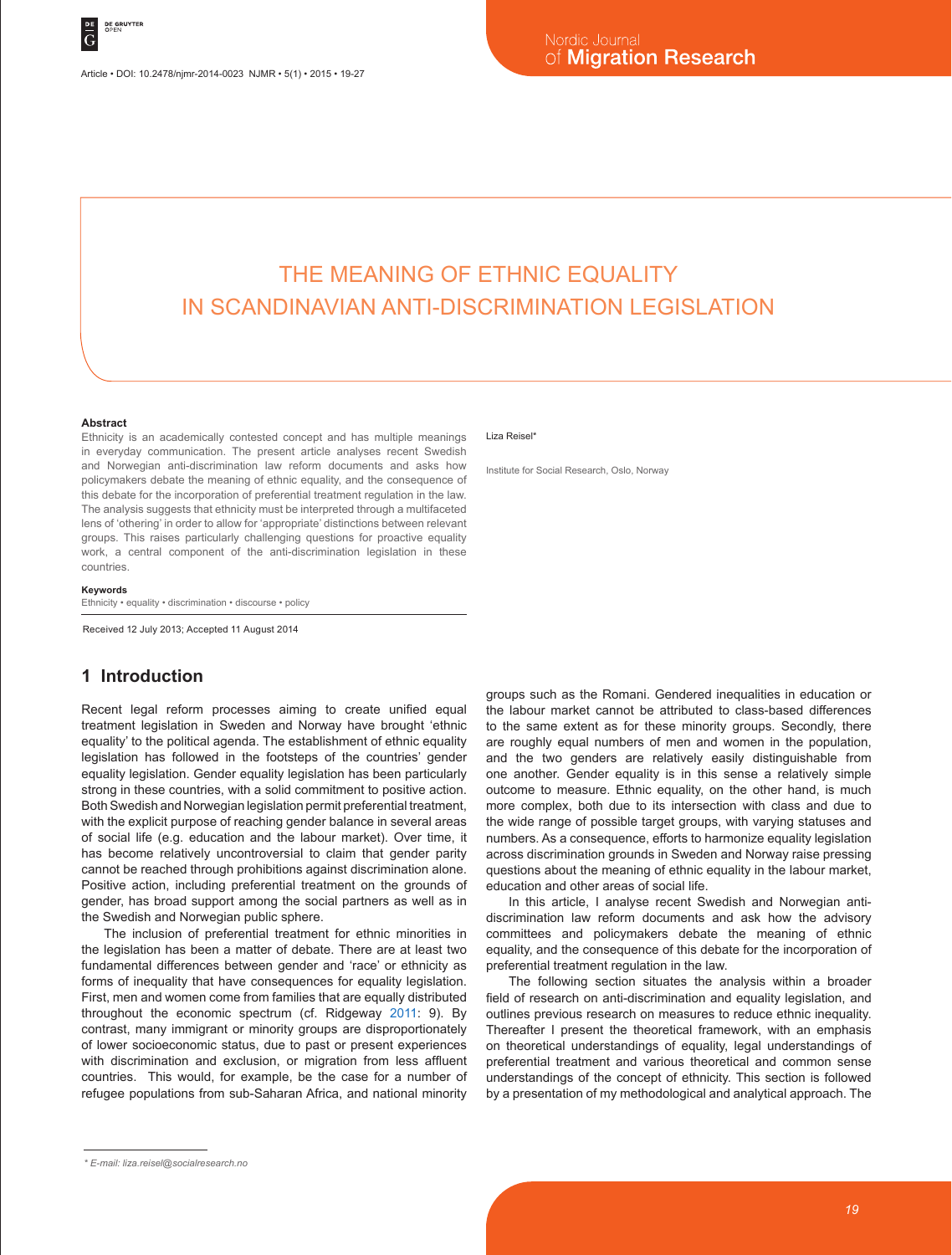Article • DOI: 10.2478/njmr-2014-0023 NJMR • 5(1) • 2015 • 19-27

# THE MEANING OF ETHNIC EQUALITY IN SCANDINAVIAN ANTI-DISCRIMINATION LEGISLATION

#### **Abstract**

Ethnicity is an academically contested concept and has multiple meanings in everyday communication. The present article analyses recent Swedish and Norwegian anti-discrimination law reform documents and asks how policymakers debate the meaning of ethnic equality, and the consequence of this debate for the incorporation of preferential treatment regulation in the law. The analysis suggests that ethnicity must be interpreted through a multifaceted lens of 'othering' in order to allow for 'appropriate' distinctions between relevant groups. This raises particularly challenging questions for proactive equality work, a central component of the anti-discrimination legislation in these countries.

#### **Keywords**

Ethnicity • equality • discrimination • discourse • policy

Received 12 July 2013; Accepted 11 August 2014

# **1 Introduction**

Recent legal reform processes aiming to create unified equal treatment legislation in Sweden and Norway have brought 'ethnic equality' to the political agenda. The establishment of ethnic equality legislation has followed in the footsteps of the countries' gender equality legislation. Gender equality legislation has been particularly strong in these countries, with a solid commitment to positive action. Both Swedish and Norwegian legislation permit preferential treatment, with the explicit purpose of reaching gender balance in several areas of social life (e.g. education and the labour market). Over time, it has become relatively uncontroversial to claim that gender parity cannot be reached through prohibitions against discrimination alone. Positive action, including preferential treatment on the grounds of gender, has broad support among the social partners as well as in the Swedish and Norwegian public sphere.

The inclusion of preferential treatment for ethnic minorities in the legislation has been a matter of debate. There are at least two fundamental differences between gender and 'race' or ethnicity as forms of inequality that have consequences for equality legislation. First, men and women come from families that are equally distributed throughout the economic spectrum (cf. Ridgeway 2011: 9). By contrast, many immigrant or minority groups are disproportionately of lower socioeconomic status, due to past or present experiences with discrimination and exclusion, or migration from less affluent countries. This would, for example, be the case for a number of refugee populations from sub-Saharan Africa, and national minority

#### Liza Reisel<sup>\*</sup>

Institute for Social Research, Oslo, Norway

groups such as the Romani. Gendered inequalities in education or the labour market cannot be attributed to class-based differences to the same extent as for these minority groups. Secondly, there are roughly equal numbers of men and women in the population, and the two genders are relatively easily distinguishable from one another. Gender equality is in this sense a relatively simple outcome to measure. Ethnic equality, on the other hand, is much more complex, both due to its intersection with class and due to the wide range of possible target groups, with varying statuses and numbers. As a consequence, efforts to harmonize equality legislation across discrimination grounds in Sweden and Norway raise pressing questions about the meaning of ethnic equality in the labour market, education and other areas of social life.

In this article, I analyse recent Swedish and Norwegian antidiscrimination law reform documents and ask how the advisory committees and policymakers debate the meaning of ethnic equality, and the consequence of this debate for the incorporation of preferential treatment regulation in the law.

The following section situates the analysis within a broader field of research on anti-discrimination and equality legislation, and outlines previous research on measures to reduce ethnic inequality. Thereafter I present the theoretical framework, with an emphasis on theoretical understandings of equality, legal understandings of preferential treatment and various theoretical and common sense understandings of the concept of ethnicity. This section is followed by a presentation of my methodological and analytical approach. The

*<sup>\*</sup> E-mail: liza.reisel@socialresearch.no*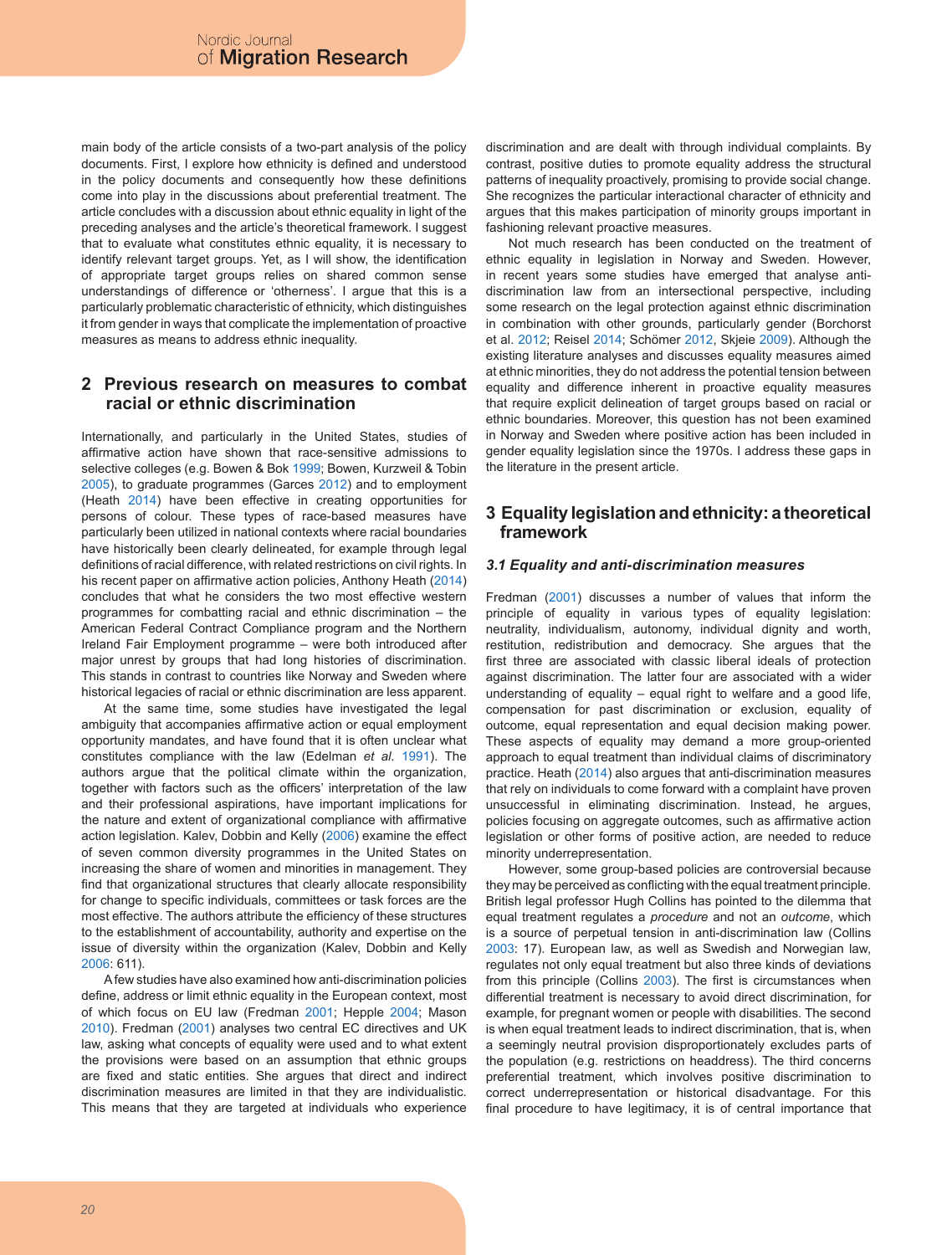main body of the article consists of a two-part analysis of the policy documents. First, I explore how ethnicity is defined and understood in the policy documents and consequently how these definitions come into play in the discussions about preferential treatment. The article concludes with a discussion about ethnic equality in light of the preceding analyses and the article's theoretical framework. I suggest that to evaluate what constitutes ethnic equality, it is necessary to identify relevant target groups. Yet, as I will show, the identification of appropriate target groups relies on shared common sense understandings of difference or 'otherness'. I argue that this is a particularly problematic characteristic of ethnicity, which distinguishes it from gender in ways that complicate the implementation of proactive measures as means to address ethnic inequality.

## **2 Previous research on measures to combat racial or ethnic discrimination**

Internationally, and particularly in the United States, studies of affirmative action have shown that race-sensitive admissions to selective colleges (e.g. Bowen & Bok 1999; Bowen, Kurzweil & Tobin 2005), to graduate programmes (Garces 2012) and to employment (Heath 2014) have been effective in creating opportunities for persons of colour. These types of race-based measures have particularly been utilized in national contexts where racial boundaries have historically been clearly delineated, for example through legal definitions of racial difference, with related restrictions on civil rights. In his recent paper on affirmative action policies, Anthony Heath (2014) concludes that what he considers the two most effective western programmes for combatting racial and ethnic discrimination – the American Federal Contract Compliance program and the Northern Ireland Fair Employment programme – were both introduced after major unrest by groups that had long histories of discrimination. This stands in contrast to countries like Norway and Sweden where historical legacies of racial or ethnic discrimination are less apparent.

At the same time, some studies have investigated the legal ambiguity that accompanies affirmative action or equal employment opportunity mandates, and have found that it is often unclear what constitutes compliance with the law (Edelman *et al.* 1991). The authors argue that the political climate within the organization, together with factors such as the officers' interpretation of the law and their professional aspirations, have important implications for the nature and extent of organizational compliance with affirmative action legislation. Kalev, Dobbin and Kelly (2006) examine the effect of seven common diversity programmes in the United States on increasing the share of women and minorities in management. They find that organizational structures that clearly allocate responsibility for change to specific individuals, committees or task forces are the most effective. The authors attribute the efficiency of these structures to the establishment of accountability, authority and expertise on the issue of diversity within the organization (Kalev, Dobbin and Kelly  $2006 \cdot 611$ 

A few studies have also examined how anti-discrimination policies define, address or limit ethnic equality in the European context, most of which focus on EU law (Fredman 2001; Hepple 2004; Mason 2010). Fredman (2001) analyses two central EC directives and UK law, asking what concepts of equality were used and to what extent the provisions were based on an assumption that ethnic groups are fixed and static entities. She argues that direct and indirect discrimination measures are limited in that they are individualistic. This means that they are targeted at individuals who experience

discrimination and are dealt with through individual complaints. By contrast, positive duties to promote equality address the structural patterns of inequality proactively, promising to provide social change. She recognizes the particular interactional character of ethnicity and argues that this makes participation of minority groups important in fashioning relevant proactive measures.

Not much research has been conducted on the treatment of ethnic equality in legislation in Norway and Sweden. However, in recent years some studies have emerged that analyse antidiscrimination law from an intersectional perspective, including some research on the legal protection against ethnic discrimination in combination with other grounds, particularly gender (Borchorst et al. 2012; Reisel 2014; Schömer 2012, Skjeie 2009). Although the existing literature analyses and discusses equality measures aimed at ethnic minorities, they do not address the potential tension between equality and difference inherent in proactive equality measures that require explicit delineation of target groups based on racial or ethnic boundaries. Moreover, this question has not been examined in Norway and Sweden where positive action has been included in gender equality legislation since the 1970s. I address these gaps in the literature in the present article.

# **3 Equality legislation and ethnicity: a theoretical framework**

### *3.1 Equality and anti-discrimination measures*

Fredman (2001) discusses a number of values that inform the principle of equality in various types of equality legislation: neutrality, individualism, autonomy, individual dignity and worth, restitution, redistribution and democracy. She argues that the first three are associated with classic liberal ideals of protection against discrimination. The latter four are associated with a wider understanding of equality – equal right to welfare and a good life, compensation for past discrimination or exclusion, equality of outcome, equal representation and equal decision making power. These aspects of equality may demand a more group-oriented approach to equal treatment than individual claims of discriminatory practice. Heath (2014) also argues that anti-discrimination measures that rely on individuals to come forward with a complaint have proven unsuccessful in eliminating discrimination. Instead, he argues, policies focusing on aggregate outcomes, such as affirmative action legislation or other forms of positive action, are needed to reduce minority underrepresentation.

However, some group-based policies are controversial because they may be perceived as conflicting with the equal treatment principle. British legal professor Hugh Collins has pointed to the dilemma that equal treatment regulates a *procedure* and not an *outcome*, which is a source of perpetual tension in anti-discrimination law (Collins 2003: 17). European law, as well as Swedish and Norwegian law, regulates not only equal treatment but also three kinds of deviations from this principle (Collins 2003). The first is circumstances when differential treatment is necessary to avoid direct discrimination, for example, for pregnant women or people with disabilities. The second is when equal treatment leads to indirect discrimination, that is, when a seemingly neutral provision disproportionately excludes parts of the population (e.g. restrictions on headdress). The third concerns preferential treatment, which involves positive discrimination to correct underrepresentation or historical disadvantage. For this final procedure to have legitimacy, it is of central importance that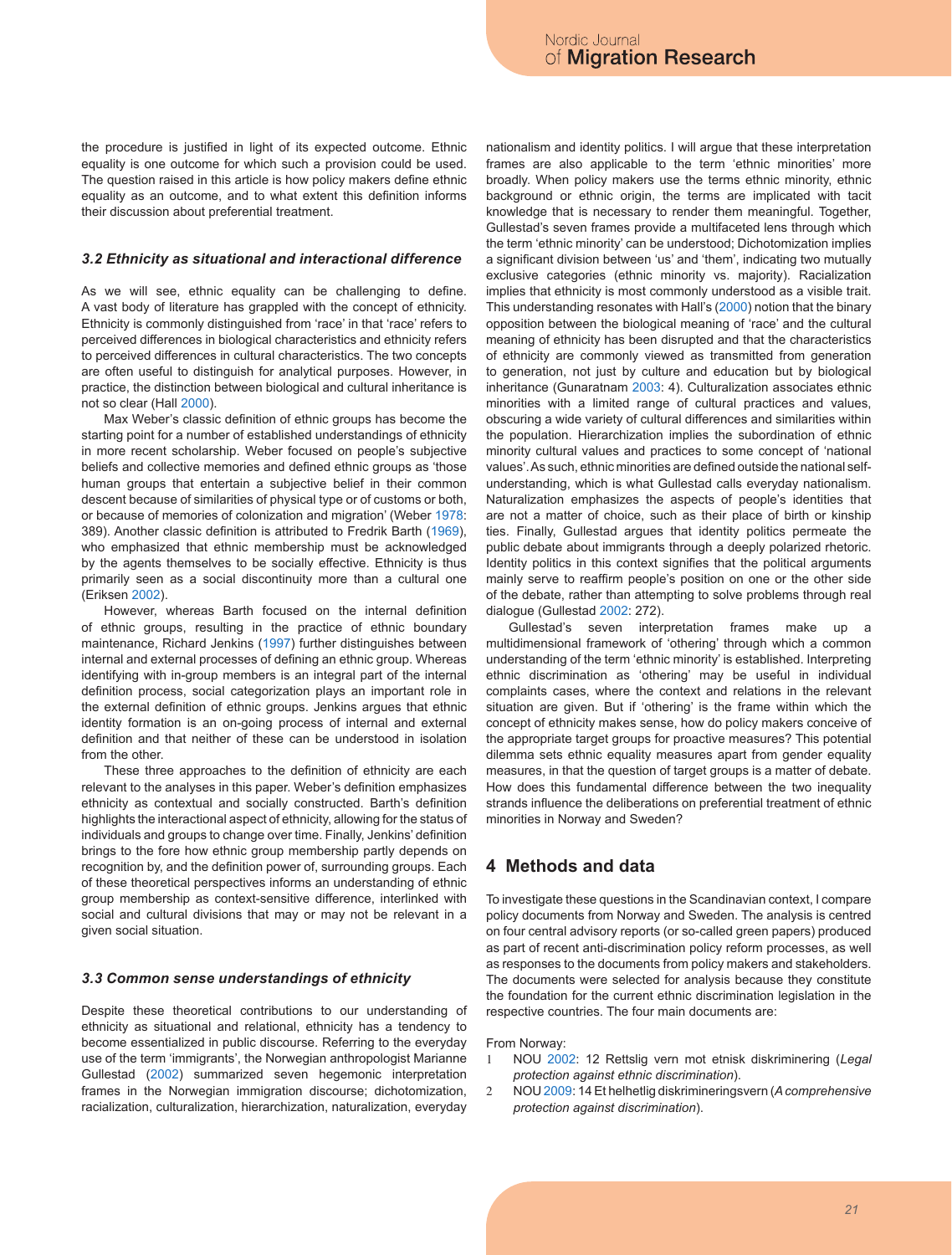the procedure is justified in light of its expected outcome. Ethnic equality is one outcome for which such a provision could be used. The question raised in this article is how policy makers define ethnic equality as an outcome, and to what extent this definition informs their discussion about preferential treatment.

#### *3.2 Ethnicity as situational and interactional difference*

As we will see, ethnic equality can be challenging to define. A vast body of literature has grappled with the concept of ethnicity. Ethnicity is commonly distinguished from 'race' in that 'race' refers to perceived differences in biological characteristics and ethnicity refers to perceived differences in cultural characteristics. The two concepts are often useful to distinguish for analytical purposes. However, in practice, the distinction between biological and cultural inheritance is not so clear (Hall 2000).

Max Weber's classic definition of ethnic groups has become the starting point for a number of established understandings of ethnicity in more recent scholarship. Weber focused on people's subjective beliefs and collective memories and defined ethnic groups as 'those human groups that entertain a subjective belief in their common descent because of similarities of physical type or of customs or both, or because of memories of colonization and migration' (Weber 1978: 389). Another classic definition is attributed to Fredrik Barth (1969), who emphasized that ethnic membership must be acknowledged by the agents themselves to be socially effective. Ethnicity is thus primarily seen as a social discontinuity more than a cultural one (Eriksen 2002).

However, whereas Barth focused on the internal definition of ethnic groups, resulting in the practice of ethnic boundary maintenance, Richard Jenkins (1997) further distinguishes between internal and external processes of defining an ethnic group. Whereas identifying with in-group members is an integral part of the internal definition process, social categorization plays an important role in the external definition of ethnic groups. Jenkins argues that ethnic identity formation is an on-going process of internal and external definition and that neither of these can be understood in isolation from the other.

These three approaches to the definition of ethnicity are each relevant to the analyses in this paper. Weber's definition emphasizes ethnicity as contextual and socially constructed. Barth's definition highlights the interactional aspect of ethnicity, allowing for the status of individuals and groups to change over time. Finally, Jenkins' definition brings to the fore how ethnic group membership partly depends on recognition by, and the definition power of, surrounding groups. Each of these theoretical perspectives informs an understanding of ethnic group membership as context-sensitive difference, interlinked with social and cultural divisions that may or may not be relevant in a given social situation.

#### *3.3 Common sense understandings of ethnicity*

Despite these theoretical contributions to our understanding of ethnicity as situational and relational, ethnicity has a tendency to become essentialized in public discourse. Referring to the everyday use of the term 'immigrants', the Norwegian anthropologist Marianne Gullestad (2002) summarized seven hegemonic interpretation frames in the Norwegian immigration discourse; dichotomization, racialization, culturalization, hierarchization, naturalization, everyday

nationalism and identity politics. I will argue that these interpretation frames are also applicable to the term 'ethnic minorities' more broadly. When policy makers use the terms ethnic minority, ethnic background or ethnic origin, the terms are implicated with tacit knowledge that is necessary to render them meaningful. Together, Gullestad's seven frames provide a multifaceted lens through which the term 'ethnic minority' can be understood; Dichotomization implies a significant division between 'us' and 'them', indicating two mutually exclusive categories (ethnic minority vs. majority). Racialization implies that ethnicity is most commonly understood as a visible trait. This understanding resonates with Hall's (2000) notion that the binary opposition between the biological meaning of 'race' and the cultural meaning of ethnicity has been disrupted and that the characteristics of ethnicity are commonly viewed as transmitted from generation to generation, not just by culture and education but by biological inheritance (Gunaratnam 2003: 4). Culturalization associates ethnic minorities with a limited range of cultural practices and values, obscuring a wide variety of cultural differences and similarities within the population. Hierarchization implies the subordination of ethnic minority cultural values and practices to some concept of 'national values'. As such, ethnic minorities are defined outside the national selfunderstanding, which is what Gullestad calls everyday nationalism. Naturalization emphasizes the aspects of people's identities that are not a matter of choice, such as their place of birth or kinship ties. Finally, Gullestad argues that identity politics permeate the public debate about immigrants through a deeply polarized rhetoric. Identity politics in this context signifies that the political arguments mainly serve to reaffirm people's position on one or the other side of the debate, rather than attempting to solve problems through real dialogue (Gullestad 2002: 272).

Gullestad's seven interpretation frames make up a multidimensional framework of 'othering' through which a common understanding of the term 'ethnic minority' is established. Interpreting ethnic discrimination as 'othering' may be useful in individual complaints cases, where the context and relations in the relevant situation are given. But if 'othering' is the frame within which the concept of ethnicity makes sense, how do policy makers conceive of the appropriate target groups for proactive measures? This potential dilemma sets ethnic equality measures apart from gender equality measures, in that the question of target groups is a matter of debate. How does this fundamental difference between the two inequality strands influence the deliberations on preferential treatment of ethnic minorities in Norway and Sweden?

### **4 Methods and data**

To investigate these questions in the Scandinavian context, I compare policy documents from Norway and Sweden. The analysis is centred on four central advisory reports (or so-called green papers) produced as part of recent anti-discrimination policy reform processes, as well as responses to the documents from policy makers and stakeholders. The documents were selected for analysis because they constitute the foundation for the current ethnic discrimination legislation in the respective countries. The four main documents are:

#### From Norway:

- 1 NOU 2002: 12 Rettslig vern mot etnisk diskriminering (*Legal protection against ethnic discrimination*).
- 2 NOU 2009: 14 Et helhetlig diskrimineringsvern (*A comprehensive protection against discrimination*).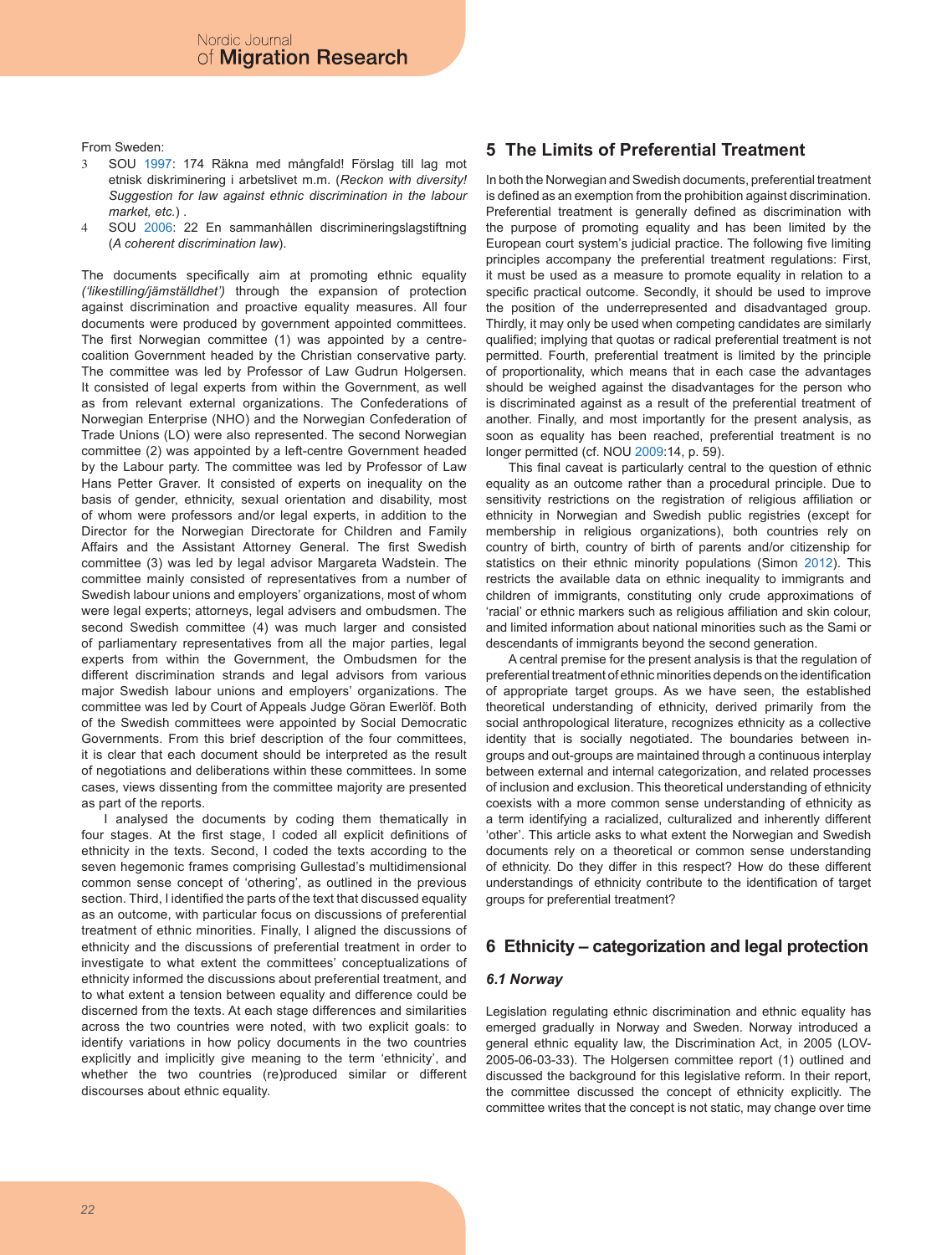From Sweden:

- 3 SOU 1997: 174 Räkna med mångfald! Förslag till lag mot etnisk diskriminering i arbetslivet m.m. (*Reckon with diversity! Suggestion for law against ethnic discrimination in the labour market, etc.*) .
- 4 SOU 2006: 22 En sammanhållen discrimineringslagstiftning (*A coherent discrimination law*).

The documents specifically aim at promoting ethnic equality *('likestilling/jämställdhet')* through the expansion of protection against discrimination and proactive equality measures. All four documents were produced by government appointed committees. The first Norwegian committee (1) was appointed by a centrecoalition Government headed by the Christian conservative party. The committee was led by Professor of Law Gudrun Holgersen. It consisted of legal experts from within the Government, as well as from relevant external organizations. The Confederations of Norwegian Enterprise (NHO) and the Norwegian Confederation of Trade Unions (LO) were also represented. The second Norwegian committee (2) was appointed by a left-centre Government headed by the Labour party. The committee was led by Professor of Law Hans Petter Graver. It consisted of experts on inequality on the basis of gender, ethnicity, sexual orientation and disability, most of whom were professors and/or legal experts, in addition to the Director for the Norwegian Directorate for Children and Family Affairs and the Assistant Attorney General. The first Swedish committee (3) was led by legal advisor Margareta Wadstein. The committee mainly consisted of representatives from a number of Swedish labour unions and employers' organizations, most of whom were legal experts; attorneys, legal advisers and ombudsmen. The second Swedish committee (4) was much larger and consisted of parliamentary representatives from all the major parties, legal experts from within the Government, the Ombudsmen for the different discrimination strands and legal advisors from various major Swedish labour unions and employers' organizations. The committee was led by Court of Appeals Judge Göran Ewerlöf. Both of the Swedish committees were appointed by Social Democratic Governments. From this brief description of the four committees, it is clear that each document should be interpreted as the result of negotiations and deliberations within these committees. In some cases, views dissenting from the committee majority are presented as part of the reports.

I analysed the documents by coding them thematically in four stages. At the first stage, I coded all explicit definitions of ethnicity in the texts. Second, I coded the texts according to the seven hegemonic frames comprising Gullestad's multidimensional common sense concept of 'othering', as outlined in the previous section. Third, I identified the parts of the text that discussed equality as an outcome, with particular focus on discussions of preferential treatment of ethnic minorities. Finally, I aligned the discussions of ethnicity and the discussions of preferential treatment in order to investigate to what extent the committees' conceptualizations of ethnicity informed the discussions about preferential treatment, and to what extent a tension between equality and difference could be discerned from the texts. At each stage differences and similarities across the two countries were noted, with two explicit goals: to identify variations in how policy documents in the two countries explicitly and implicitly give meaning to the term 'ethnicity', and whether the two countries (re)produced similar or different discourses about ethnic equality.

# **5 The Limits of Preferential Treatment**

In both the Norwegian and Swedish documents, preferential treatment is defined as an exemption from the prohibition against discrimination. Preferential treatment is generally defined as discrimination with the purpose of promoting equality and has been limited by the European court system's judicial practice. The following five limiting principles accompany the preferential treatment regulations: First, it must be used as a measure to promote equality in relation to a specific practical outcome. Secondly, it should be used to improve the position of the underrepresented and disadvantaged group. Thirdly, it may only be used when competing candidates are similarly qualified; implying that quotas or radical preferential treatment is not permitted. Fourth, preferential treatment is limited by the principle of proportionality, which means that in each case the advantages should be weighed against the disadvantages for the person who is discriminated against as a result of the preferential treatment of another. Finally, and most importantly for the present analysis, as soon as equality has been reached, preferential treatment is no longer permitted (cf. NOU 2009:14, p. 59).

This final caveat is particularly central to the question of ethnic equality as an outcome rather than a procedural principle. Due to sensitivity restrictions on the registration of religious affiliation or ethnicity in Norwegian and Swedish public registries (except for membership in religious organizations), both countries rely on country of birth, country of birth of parents and/or citizenship for statistics on their ethnic minority populations (Simon 2012). This restricts the available data on ethnic inequality to immigrants and children of immigrants, constituting only crude approximations of 'racial' or ethnic markers such as religious affiliation and skin colour, and limited information about national minorities such as the Sami or descendants of immigrants beyond the second generation.

A central premise for the present analysis is that the regulation of preferential treatment of ethnic minorities depends on the identification of appropriate target groups. As we have seen, the established theoretical understanding of ethnicity, derived primarily from the social anthropological literature, recognizes ethnicity as a collective identity that is socially negotiated. The boundaries between ingroups and out-groups are maintained through a continuous interplay between external and internal categorization, and related processes of inclusion and exclusion. This theoretical understanding of ethnicity coexists with a more common sense understanding of ethnicity as a term identifying a racialized, culturalized and inherently different 'other'. This article asks to what extent the Norwegian and Swedish documents rely on a theoretical or common sense understanding of ethnicity. Do they differ in this respect? How do these different understandings of ethnicity contribute to the identification of target groups for preferential treatment?

## **6 Ethnicity – categorization and legal protection**

### *6.1 Norway*

Legislation regulating ethnic discrimination and ethnic equality has emerged gradually in Norway and Sweden. Norway introduced a general ethnic equality law, the Discrimination Act, in 2005 (LOV-2005-06-03-33). The Holgersen committee report (1) outlined and discussed the background for this legislative reform. In their report, the committee discussed the concept of ethnicity explicitly. The committee writes that the concept is not static, may change over time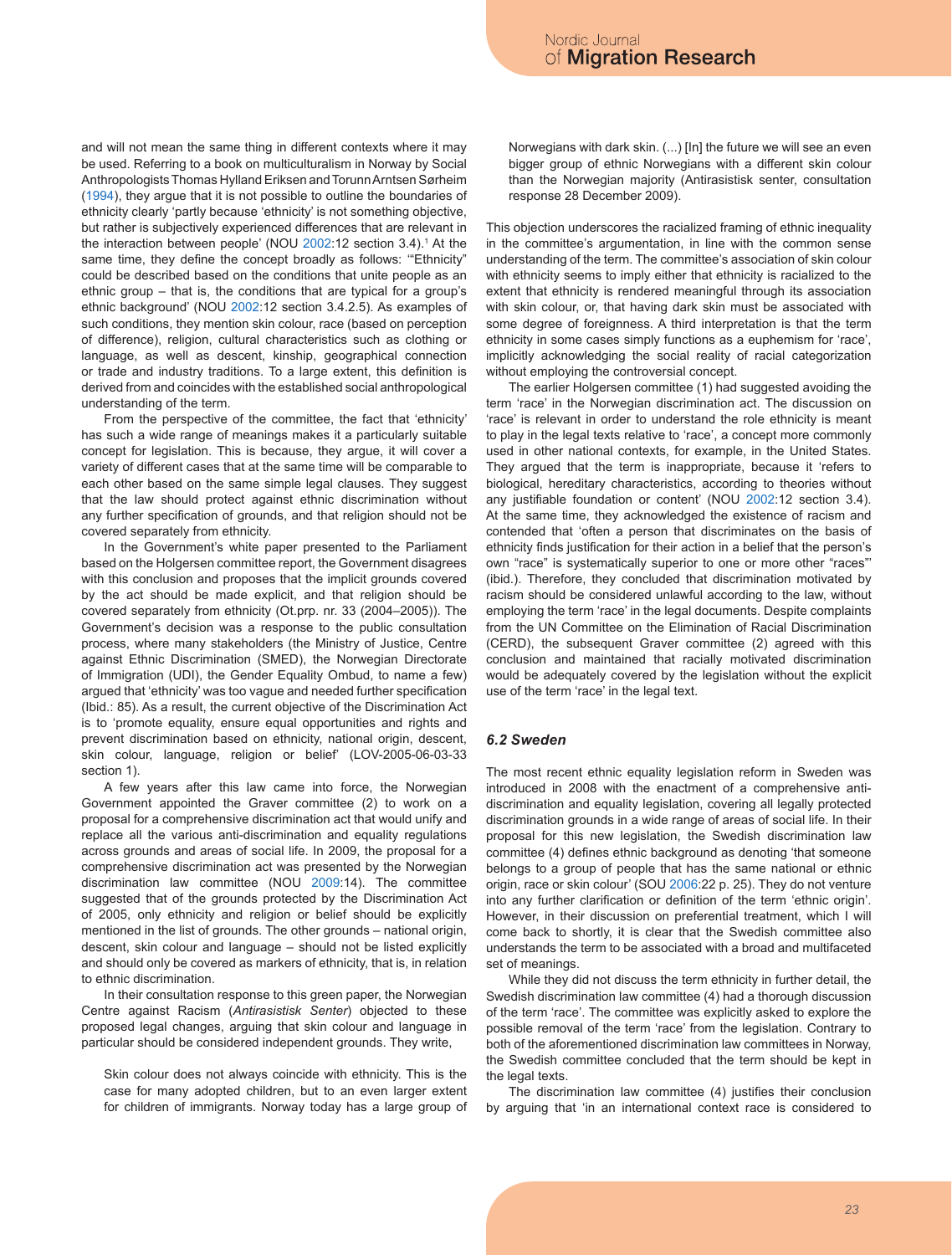and will not mean the same thing in different contexts where it may be used. Referring to a book on multiculturalism in Norway by Social Anthropologists Thomas Hylland Eriksen and Torunn Arntsen Sørheim (1994), they argue that it is not possible to outline the boundaries of ethnicity clearly 'partly because 'ethnicity' is not something objective, but rather is subjectively experienced differences that are relevant in the interaction between people' (NOU 2002:12 section 3.4).<sup>1</sup> At the same time, they define the concept broadly as follows: '"Ethnicity" could be described based on the conditions that unite people as an ethnic group – that is, the conditions that are typical for a group's ethnic background' (NOU 2002:12 section 3.4.2.5). As examples of such conditions, they mention skin colour, race (based on perception of difference), religion, cultural characteristics such as clothing or language, as well as descent, kinship, geographical connection or trade and industry traditions. To a large extent, this definition is derived from and coincides with the established social anthropological understanding of the term.

From the perspective of the committee, the fact that 'ethnicity' has such a wide range of meanings makes it a particularly suitable concept for legislation. This is because, they argue, it will cover a variety of different cases that at the same time will be comparable to each other based on the same simple legal clauses. They suggest that the law should protect against ethnic discrimination without any further specification of grounds, and that religion should not be covered separately from ethnicity.

In the Government's white paper presented to the Parliament based on the Holgersen committee report, the Government disagrees with this conclusion and proposes that the implicit grounds covered by the act should be made explicit, and that religion should be covered separately from ethnicity (Ot.prp. nr. 33 (2004–2005)). The Government's decision was a response to the public consultation process, where many stakeholders (the Ministry of Justice, Centre against Ethnic Discrimination (SMED), the Norwegian Directorate of Immigration (UDI), the Gender Equality Ombud, to name a few) argued that 'ethnicity' was too vague and needed further specification (Ibid.: 85). As a result, the current objective of the Discrimination Act is to 'promote equality, ensure equal opportunities and rights and prevent discrimination based on ethnicity, national origin, descent, skin colour, language, religion or belief' (LOV-2005-06-03-33 section 1).

A few years after this law came into force, the Norwegian Government appointed the Graver committee (2) to work on a proposal for a comprehensive discrimination act that would unify and replace all the various anti-discrimination and equality regulations across grounds and areas of social life. In 2009, the proposal for a comprehensive discrimination act was presented by the Norwegian discrimination law committee (NOU 2009:14). The committee suggested that of the grounds protected by the Discrimination Act of 2005, only ethnicity and religion or belief should be explicitly mentioned in the list of grounds. The other grounds – national origin, descent, skin colour and language – should not be listed explicitly and should only be covered as markers of ethnicity, that is, in relation to ethnic discrimination.

In their consultation response to this green paper, the Norwegian Centre against Racism (*Antirasistisk Senter*) objected to these proposed legal changes, arguing that skin colour and language in particular should be considered independent grounds. They write,

Skin colour does not always coincide with ethnicity. This is the case for many adopted children, but to an even larger extent for children of immigrants. Norway today has a large group of Norwegians with dark skin. (...) [In] the future we will see an even bigger group of ethnic Norwegians with a different skin colour than the Norwegian majority (Antirasistisk senter, consultation response 28 December 2009).

This objection underscores the racialized framing of ethnic inequality in the committee's argumentation, in line with the common sense understanding of the term. The committee's association of skin colour with ethnicity seems to imply either that ethnicity is racialized to the extent that ethnicity is rendered meaningful through its association with skin colour, or, that having dark skin must be associated with some degree of foreignness. A third interpretation is that the term ethnicity in some cases simply functions as a euphemism for 'race', implicitly acknowledging the social reality of racial categorization without employing the controversial concept.

The earlier Holgersen committee (1) had suggested avoiding the term 'race' in the Norwegian discrimination act. The discussion on 'race' is relevant in order to understand the role ethnicity is meant to play in the legal texts relative to 'race', a concept more commonly used in other national contexts, for example, in the United States. They argued that the term is inappropriate, because it 'refers to biological, hereditary characteristics, according to theories without any justifiable foundation or content' (NOU 2002:12 section 3.4). At the same time, they acknowledged the existence of racism and contended that 'often a person that discriminates on the basis of ethnicity finds justification for their action in a belief that the person's own "race" is systematically superior to one or more other "races"' (ibid.). Therefore, they concluded that discrimination motivated by racism should be considered unlawful according to the law, without employing the term 'race' in the legal documents. Despite complaints from the UN Committee on the Elimination of Racial Discrimination (CERD), the subsequent Graver committee (2) agreed with this conclusion and maintained that racially motivated discrimination would be adequately covered by the legislation without the explicit use of the term 'race' in the legal text.

#### *6.2 Sweden*

The most recent ethnic equality legislation reform in Sweden was introduced in 2008 with the enactment of a comprehensive antidiscrimination and equality legislation, covering all legally protected discrimination grounds in a wide range of areas of social life. In their proposal for this new legislation, the Swedish discrimination law committee (4) defines ethnic background as denoting 'that someone belongs to a group of people that has the same national or ethnic origin, race or skin colour' (SOU 2006:22 p. 25). They do not venture into any further clarification or definition of the term 'ethnic origin'. However, in their discussion on preferential treatment, which I will come back to shortly, it is clear that the Swedish committee also understands the term to be associated with a broad and multifaceted set of meanings.

While they did not discuss the term ethnicity in further detail, the Swedish discrimination law committee (4) had a thorough discussion of the term 'race'. The committee was explicitly asked to explore the possible removal of the term 'race' from the legislation. Contrary to both of the aforementioned discrimination law committees in Norway, the Swedish committee concluded that the term should be kept in the legal texts.

The discrimination law committee (4) justifies their conclusion by arguing that 'in an international context race is considered to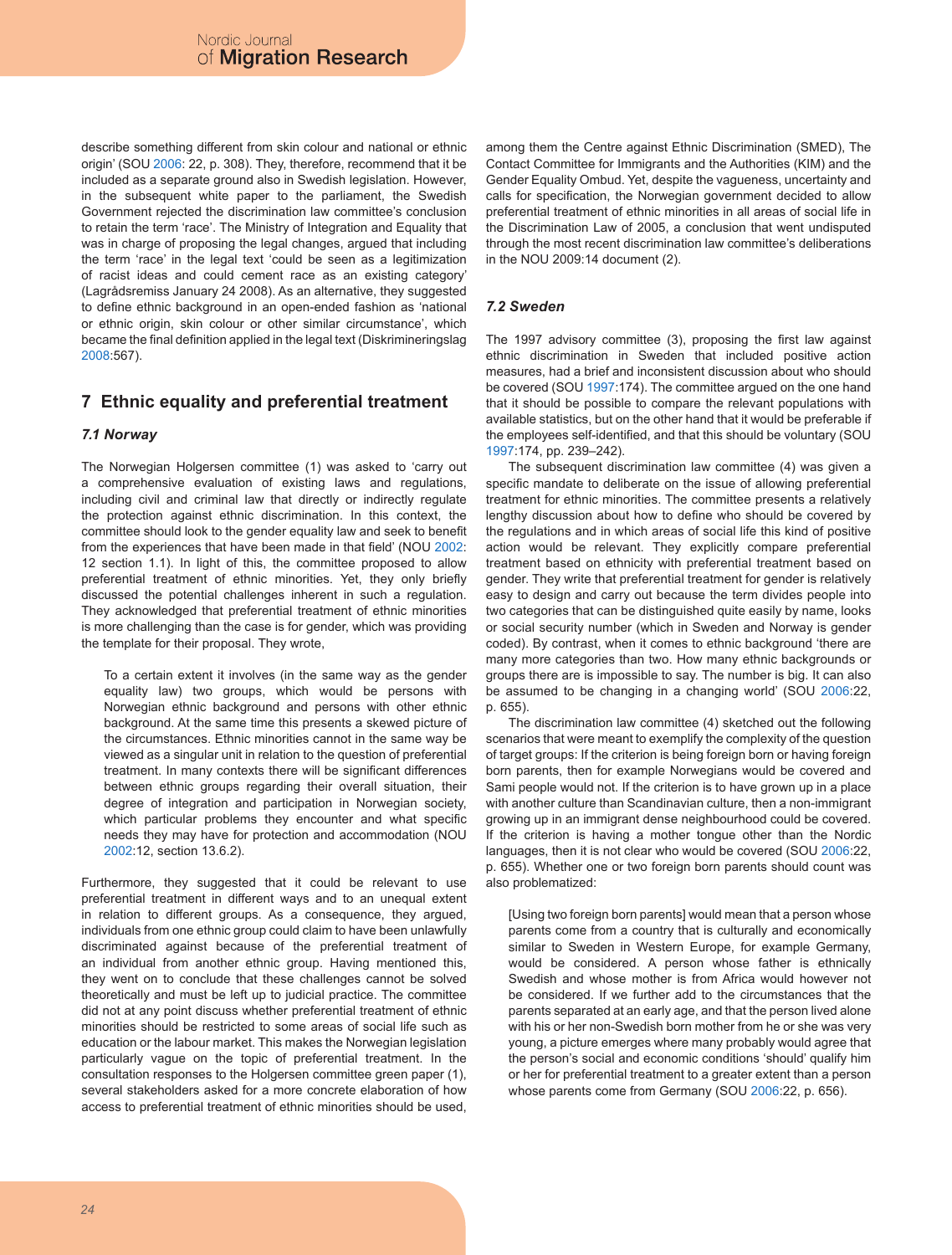describe something different from skin colour and national or ethnic origin' (SOU 2006: 22, p. 308). They, therefore, recommend that it be included as a separate ground also in Swedish legislation. However, in the subsequent white paper to the parliament, the Swedish Government rejected the discrimination law committee's conclusion to retain the term 'race'. The Ministry of Integration and Equality that was in charge of proposing the legal changes, argued that including the term 'race' in the legal text 'could be seen as a legitimization of racist ideas and could cement race as an existing category' (Lagrådsremiss January 24 2008). As an alternative, they suggested to define ethnic background in an open-ended fashion as 'national or ethnic origin, skin colour or other similar circumstance', which became the final definition applied in the legal text (Diskrimineringslag 2008:567).

# **7 Ethnic equality and preferential treatment**

### *7.1 Norway*

The Norwegian Holgersen committee (1) was asked to 'carry out a comprehensive evaluation of existing laws and regulations, including civil and criminal law that directly or indirectly regulate the protection against ethnic discrimination. In this context, the committee should look to the gender equality law and seek to benefit from the experiences that have been made in that field' (NOU 2002: 12 section 1.1). In light of this, the committee proposed to allow preferential treatment of ethnic minorities. Yet, they only briefly discussed the potential challenges inherent in such a regulation. They acknowledged that preferential treatment of ethnic minorities is more challenging than the case is for gender, which was providing the template for their proposal. They wrote,

To a certain extent it involves (in the same way as the gender equality law) two groups, which would be persons with Norwegian ethnic background and persons with other ethnic background. At the same time this presents a skewed picture of the circumstances. Ethnic minorities cannot in the same way be viewed as a singular unit in relation to the question of preferential treatment. In many contexts there will be significant differences between ethnic groups regarding their overall situation, their degree of integration and participation in Norwegian society, which particular problems they encounter and what specific needs they may have for protection and accommodation (NOU 2002:12, section 13.6.2).

Furthermore, they suggested that it could be relevant to use preferential treatment in different ways and to an unequal extent in relation to different groups. As a consequence, they argued, individuals from one ethnic group could claim to have been unlawfully discriminated against because of the preferential treatment of an individual from another ethnic group. Having mentioned this, they went on to conclude that these challenges cannot be solved theoretically and must be left up to judicial practice. The committee did not at any point discuss whether preferential treatment of ethnic minorities should be restricted to some areas of social life such as education or the labour market. This makes the Norwegian legislation particularly vague on the topic of preferential treatment. In the consultation responses to the Holgersen committee green paper (1), several stakeholders asked for a more concrete elaboration of how access to preferential treatment of ethnic minorities should be used, among them the Centre against Ethnic Discrimination (SMED), The Contact Committee for Immigrants and the Authorities (KIM) and the Gender Equality Ombud. Yet, despite the vagueness, uncertainty and calls for specification, the Norwegian government decided to allow preferential treatment of ethnic minorities in all areas of social life in the Discrimination Law of 2005, a conclusion that went undisputed through the most recent discrimination law committee's deliberations in the NOU 2009:14 document (2).

### *7.2 Sweden*

The 1997 advisory committee (3), proposing the first law against ethnic discrimination in Sweden that included positive action measures, had a brief and inconsistent discussion about who should be covered (SOU 1997:174). The committee argued on the one hand that it should be possible to compare the relevant populations with available statistics, but on the other hand that it would be preferable if the employees self-identified, and that this should be voluntary (SOU 1997:174, pp. 239–242).

The subsequent discrimination law committee (4) was given a specific mandate to deliberate on the issue of allowing preferential treatment for ethnic minorities. The committee presents a relatively lengthy discussion about how to define who should be covered by the regulations and in which areas of social life this kind of positive action would be relevant. They explicitly compare preferential treatment based on ethnicity with preferential treatment based on gender. They write that preferential treatment for gender is relatively easy to design and carry out because the term divides people into two categories that can be distinguished quite easily by name, looks or social security number (which in Sweden and Norway is gender coded). By contrast, when it comes to ethnic background 'there are many more categories than two. How many ethnic backgrounds or groups there are is impossible to say. The number is big. It can also be assumed to be changing in a changing world' (SOU 2006:22, p. 655).

The discrimination law committee (4) sketched out the following scenarios that were meant to exemplify the complexity of the question of target groups: If the criterion is being foreign born or having foreign born parents, then for example Norwegians would be covered and Sami people would not. If the criterion is to have grown up in a place with another culture than Scandinavian culture, then a non-immigrant growing up in an immigrant dense neighbourhood could be covered. If the criterion is having a mother tongue other than the Nordic languages, then it is not clear who would be covered (SOU 2006:22, p. 655). Whether one or two foreign born parents should count was also problematized:

[Using two foreign born parents] would mean that a person whose parents come from a country that is culturally and economically similar to Sweden in Western Europe, for example Germany, would be considered. A person whose father is ethnically Swedish and whose mother is from Africa would however not be considered. If we further add to the circumstances that the parents separated at an early age, and that the person lived alone with his or her non-Swedish born mother from he or she was very young, a picture emerges where many probably would agree that the person's social and economic conditions 'should' qualify him or her for preferential treatment to a greater extent than a person whose parents come from Germany (SOU 2006:22, p. 656).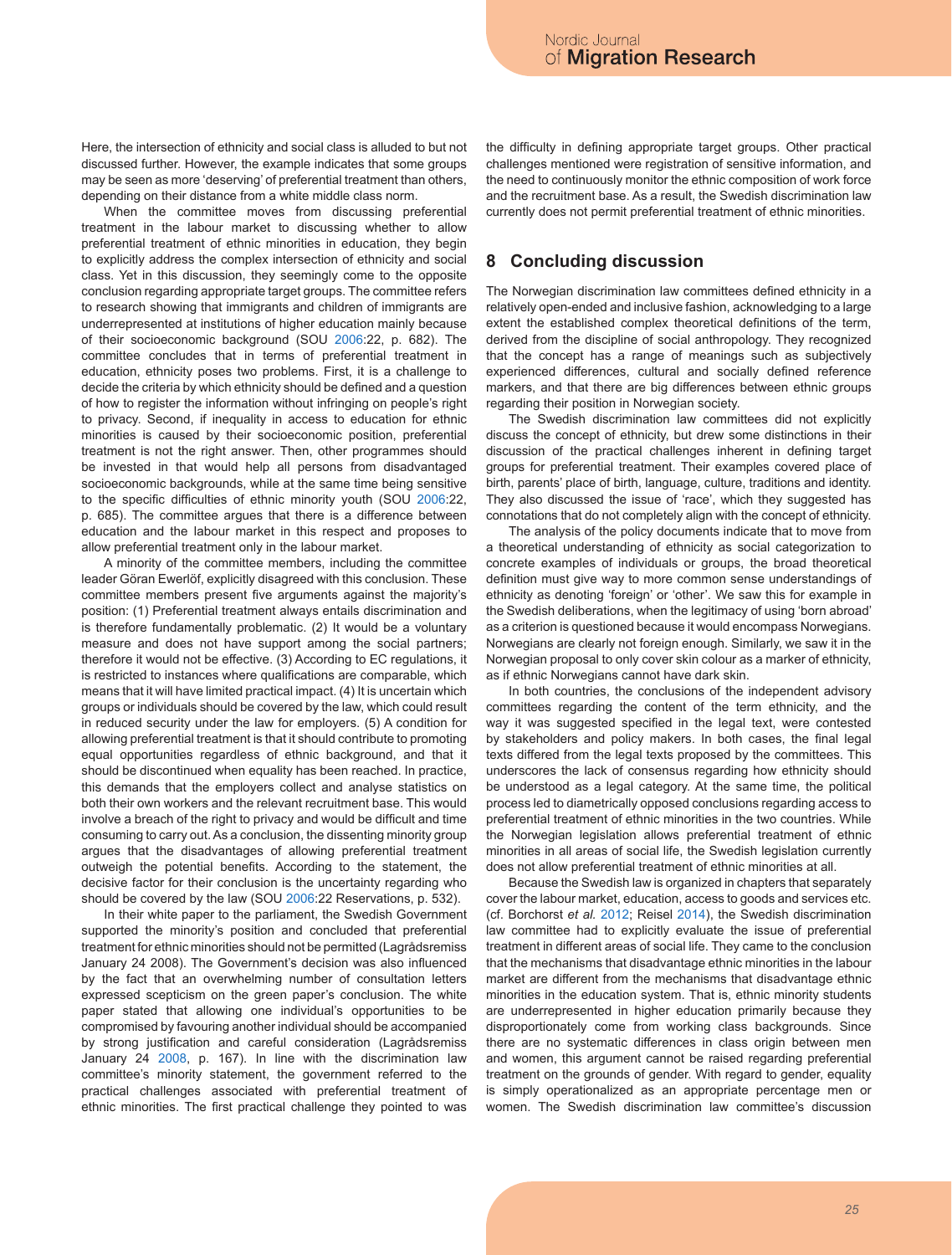Here, the intersection of ethnicity and social class is alluded to but not discussed further. However, the example indicates that some groups may be seen as more 'deserving' of preferential treatment than others, depending on their distance from a white middle class norm.

When the committee moves from discussing preferential treatment in the labour market to discussing whether to allow preferential treatment of ethnic minorities in education, they begin to explicitly address the complex intersection of ethnicity and social class. Yet in this discussion, they seemingly come to the opposite conclusion regarding appropriate target groups. The committee refers to research showing that immigrants and children of immigrants are underrepresented at institutions of higher education mainly because of their socioeconomic background (SOU 2006:22, p. 682). The committee concludes that in terms of preferential treatment in education, ethnicity poses two problems. First, it is a challenge to decide the criteria by which ethnicity should be defined and a question of how to register the information without infringing on people's right to privacy. Second, if inequality in access to education for ethnic minorities is caused by their socioeconomic position, preferential treatment is not the right answer. Then, other programmes should be invested in that would help all persons from disadvantaged socioeconomic backgrounds, while at the same time being sensitive to the specific difficulties of ethnic minority youth (SOU 2006:22, p. 685). The committee argues that there is a difference between education and the labour market in this respect and proposes to allow preferential treatment only in the labour market.

A minority of the committee members, including the committee leader Göran Ewerlöf, explicitly disagreed with this conclusion. These committee members present five arguments against the majority's position: (1) Preferential treatment always entails discrimination and is therefore fundamentally problematic. (2) It would be a voluntary measure and does not have support among the social partners; therefore it would not be effective. (3) According to EC regulations, it is restricted to instances where qualifications are comparable, which means that it will have limited practical impact. (4) It is uncertain which groups or individuals should be covered by the law, which could result in reduced security under the law for employers. (5) A condition for allowing preferential treatment is that it should contribute to promoting equal opportunities regardless of ethnic background, and that it should be discontinued when equality has been reached. In practice, this demands that the employers collect and analyse statistics on both their own workers and the relevant recruitment base. This would involve a breach of the right to privacy and would be difficult and time consuming to carry out. As a conclusion, the dissenting minority group argues that the disadvantages of allowing preferential treatment outweigh the potential benefits. According to the statement, the decisive factor for their conclusion is the uncertainty regarding who should be covered by the law (SOU 2006:22 Reservations, p. 532).

In their white paper to the parliament, the Swedish Government supported the minority's position and concluded that preferential treatment for ethnic minorities should not be permitted (Lagrådsremiss January 24 2008). The Government's decision was also influenced by the fact that an overwhelming number of consultation letters expressed scepticism on the green paper's conclusion. The white paper stated that allowing one individual's opportunities to be compromised by favouring another individual should be accompanied by strong justification and careful consideration (Lagrådsremiss January 24 2008, p. 167). In line with the discrimination law committee's minority statement, the government referred to the practical challenges associated with preferential treatment of ethnic minorities. The first practical challenge they pointed to was

the difficulty in defining appropriate target groups. Other practical challenges mentioned were registration of sensitive information, and the need to continuously monitor the ethnic composition of work force and the recruitment base. As a result, the Swedish discrimination law currently does not permit preferential treatment of ethnic minorities.

# **8 Concluding discussion**

The Norwegian discrimination law committees defined ethnicity in a relatively open-ended and inclusive fashion, acknowledging to a large extent the established complex theoretical definitions of the term, derived from the discipline of social anthropology. They recognized that the concept has a range of meanings such as subjectively experienced differences, cultural and socially defined reference markers, and that there are big differences between ethnic groups regarding their position in Norwegian society.

The Swedish discrimination law committees did not explicitly discuss the concept of ethnicity, but drew some distinctions in their discussion of the practical challenges inherent in defining target groups for preferential treatment. Their examples covered place of birth, parents' place of birth, language, culture, traditions and identity. They also discussed the issue of 'race', which they suggested has connotations that do not completely align with the concept of ethnicity.

The analysis of the policy documents indicate that to move from a theoretical understanding of ethnicity as social categorization to concrete examples of individuals or groups, the broad theoretical definition must give way to more common sense understandings of ethnicity as denoting 'foreign' or 'other'. We saw this for example in the Swedish deliberations, when the legitimacy of using 'born abroad' as a criterion is questioned because it would encompass Norwegians. Norwegians are clearly not foreign enough. Similarly, we saw it in the Norwegian proposal to only cover skin colour as a marker of ethnicity, as if ethnic Norwegians cannot have dark skin.

In both countries, the conclusions of the independent advisory committees regarding the content of the term ethnicity, and the way it was suggested specified in the legal text, were contested by stakeholders and policy makers. In both cases, the final legal texts differed from the legal texts proposed by the committees. This underscores the lack of consensus regarding how ethnicity should be understood as a legal category. At the same time, the political process led to diametrically opposed conclusions regarding access to preferential treatment of ethnic minorities in the two countries. While the Norwegian legislation allows preferential treatment of ethnic minorities in all areas of social life, the Swedish legislation currently does not allow preferential treatment of ethnic minorities at all.

Because the Swedish law is organized in chapters that separately cover the labour market, education, access to goods and services etc. (cf. Borchorst *et al.* 2012; Reisel 2014), the Swedish discrimination law committee had to explicitly evaluate the issue of preferential treatment in different areas of social life. They came to the conclusion that the mechanisms that disadvantage ethnic minorities in the labour market are different from the mechanisms that disadvantage ethnic minorities in the education system. That is, ethnic minority students are underrepresented in higher education primarily because they disproportionately come from working class backgrounds. Since there are no systematic differences in class origin between men and women, this argument cannot be raised regarding preferential treatment on the grounds of gender. With regard to gender, equality is simply operationalized as an appropriate percentage men or women. The Swedish discrimination law committee's discussion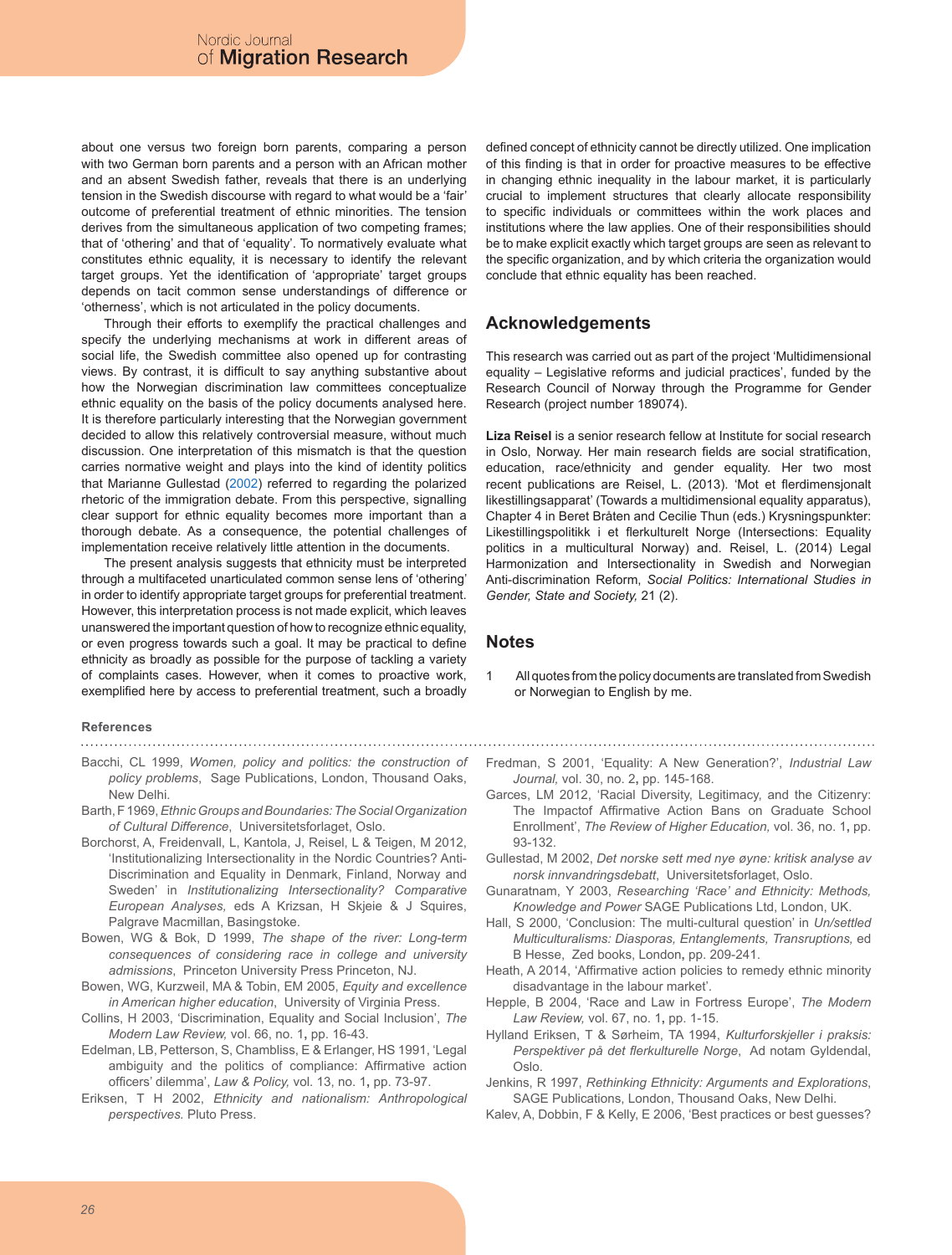about one versus two foreign born parents, comparing a person with two German born parents and a person with an African mother and an absent Swedish father, reveals that there is an underlying tension in the Swedish discourse with regard to what would be a 'fair' outcome of preferential treatment of ethnic minorities. The tension derives from the simultaneous application of two competing frames; that of 'othering' and that of 'equality'. To normatively evaluate what constitutes ethnic equality, it is necessary to identify the relevant target groups. Yet the identification of 'appropriate' target groups depends on tacit common sense understandings of difference or 'otherness', which is not articulated in the policy documents.

Through their efforts to exemplify the practical challenges and specify the underlying mechanisms at work in different areas of social life, the Swedish committee also opened up for contrasting views. By contrast, it is difficult to say anything substantive about how the Norwegian discrimination law committees conceptualize ethnic equality on the basis of the policy documents analysed here. It is therefore particularly interesting that the Norwegian government decided to allow this relatively controversial measure, without much discussion. One interpretation of this mismatch is that the question carries normative weight and plays into the kind of identity politics that Marianne Gullestad (2002) referred to regarding the polarized rhetoric of the immigration debate. From this perspective, signalling clear support for ethnic equality becomes more important than a thorough debate. As a consequence, the potential challenges of implementation receive relatively little attention in the documents.

The present analysis suggests that ethnicity must be interpreted through a multifaceted unarticulated common sense lens of 'othering' in order to identify appropriate target groups for preferential treatment. However, this interpretation process is not made explicit, which leaves unanswered the important question of how to recognize ethnic equality, or even progress towards such a goal. It may be practical to define ethnicity as broadly as possible for the purpose of tackling a variety of complaints cases. However, when it comes to proactive work, exemplified here by access to preferential treatment, such a broadly

#### **References**

- Bacchi, CL 1999, *Women, policy and politics: the construction of policy problems*, Sage Publications, London, Thousand Oaks, New Delhi.
- Barth, F 1969, *Ethnic Groups and Boundaries: The Social Organization of Cultural Difference*, Universitetsforlaget, Oslo.
- Borchorst, A, Freidenvall, L, Kantola, J, Reisel, L & Teigen, M 2012, 'Institutionalizing Intersectionality in the Nordic Countries? Anti-Discrimination and Equality in Denmark, Finland, Norway and Sweden' in *Institutionalizing Intersectionality? Comparative European Analyses,* eds A Krizsan, H Skjeie & J Squires, Palgrave Macmillan, Basingstoke.
- Bowen, WG & Bok, D 1999, *The shape of the river: Long-term consequences of considering race in college and university admissions*, Princeton University Press Princeton, NJ.
- Bowen, WG, Kurzweil, MA & Tobin, EM 2005, *Equity and excellence in American higher education*, University of Virginia Press.
- Collins, H 2003, 'Discrimination, Equality and Social Inclusion', *The Modern Law Review,* vol. 66, no. 1**,** pp. 16-43.
- Edelman, LB, Petterson, S, Chambliss, E & Erlanger, HS 1991, 'Legal ambiguity and the politics of compliance: Affirmative action officers' dilemma', *Law & Policy,* vol. 13, no. 1**,** pp. 73-97.
- Eriksen, T H 2002, *Ethnicity and nationalism: Anthropological perspectives.* Pluto Press.

defined concept of ethnicity cannot be directly utilized. One implication of this finding is that in order for proactive measures to be effective in changing ethnic inequality in the labour market, it is particularly crucial to implement structures that clearly allocate responsibility to specific individuals or committees within the work places and institutions where the law applies. One of their responsibilities should be to make explicit exactly which target groups are seen as relevant to the specific organization, and by which criteria the organization would conclude that ethnic equality has been reached.

### **Acknowledgements**

This research was carried out as part of the project 'Multidimensional equality – Legislative reforms and judicial practices', funded by the Research Council of Norway through the Programme for Gender Research (project number 189074).

**Liza Reisel** is a senior research fellow at Institute for social research in Oslo, Norway. Her main research fields are social stratification, education, race/ethnicity and gender equality. Her two most recent publications are Reisel, L. (2013). 'Mot et flerdimensjonalt likestillingsapparat' (Towards a multidimensional equality apparatus), Chapter 4 in Beret Bråten and Cecilie Thun (eds.) Krysningspunkter: Likestillingspolitikk i et flerkulturelt Norge (Intersections: Equality politics in a multicultural Norway) and. Reisel, L. (2014) Legal Harmonization and Intersectionality in Swedish and Norwegian Anti-discrimination Reform, *Social Politics: International Studies in Gender, State and Society,* 21 (2).

### **Notes**

1 All quotes from the policy documents are translated from Swedish or Norwegian to English by me.

Fredman, S 2001, 'Equality: A New Generation?', *Industrial Law Journal,* vol. 30, no. 2**,** pp. 145-168.

- Garces, LM 2012, 'Racial Diversity, Legitimacy, and the Citizenry: The Impactof Affirmative Action Bans on Graduate School Enrollment', *The Review of Higher Education,* vol. 36, no. 1**,** pp. 93-132.
- Gullestad, M 2002, *Det norske sett med nye øyne: kritisk analyse av norsk innvandringsdebatt*, Universitetsforlaget, Oslo.
- Gunaratnam, Y 2003, *Researching 'Race' and Ethnicity: Methods, Knowledge and Power* SAGE Publications Ltd, London, UK.
- Hall, S 2000, 'Conclusion: The multi-cultural question' in *Un/settled Multiculturalisms: Diasporas, Entanglements, Transruptions,* ed B Hesse, Zed books, London**,** pp. 209-241.
- Heath, A 2014, 'Affirmative action policies to remedy ethnic minority disadvantage in the labour market'.
- Hepple, B 2004, 'Race and Law in Fortress Europe', *The Modern Law Review,* vol. 67, no. 1**,** pp. 1-15.
- Hylland Eriksen, T & Sørheim, TA 1994, *Kulturforskjeller i praksis: Perspektiver på det flerkulturelle Norge*, Ad notam Gyldendal, Oslo.
- Jenkins, R 1997, *Rethinking Ethnicity: Arguments and Explorations*, SAGE Publications, London, Thousand Oaks, New Delhi.
- Kalev, A, Dobbin, F & Kelly, E 2006, 'Best practices or best guesses?